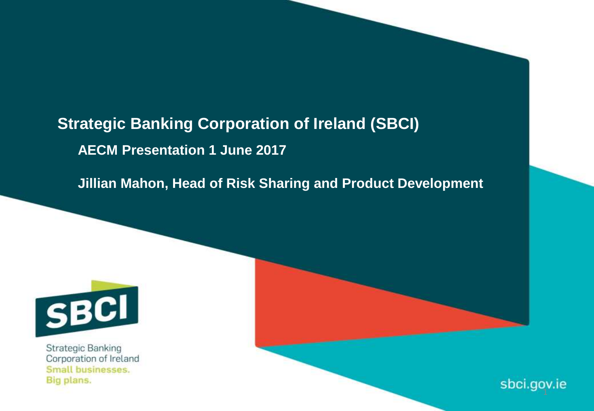# **Strategic Banking Corporation of Ireland (SBCI) AECM Presentation 1 June 2017**

**Jillian Mahon, Head of Risk Sharing and Product Development**



Strategic Banking Corporation of Ireland Small businesses. Big plans.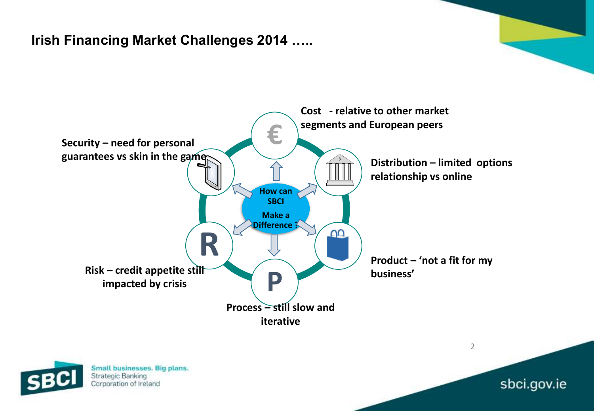# **Irish Financing Market Challenges 2014 …..**





Small businesses. Big plans. Strategic Banking Corporation of Ireland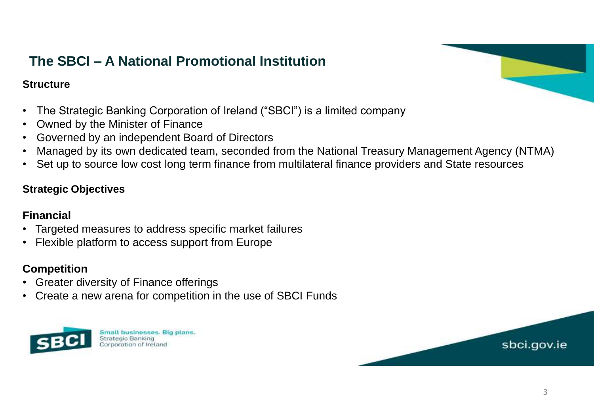# **The SBCI – A National Promotional Institution**

### **Structure**

- The Strategic Banking Corporation of Ireland ("SBCI") is a limited company
- Owned by the Minister of Finance
- Governed by an independent Board of Directors
- Managed by its own dedicated team, seconded from the National Treasury Management Agency (NTMA)
- Set up to source low cost long term finance from multilateral finance providers and State resources

### **Strategic Objectives**

### **Financial**

- Targeted measures to address specific market failures
- Flexible platform to access support from Europe

### **Competition**

- Greater diversity of Finance offerings
- Create a new arena for competition in the use of SBCI Funds



Small businesses. Big plans. Strategic Banking Corporation of Ireland



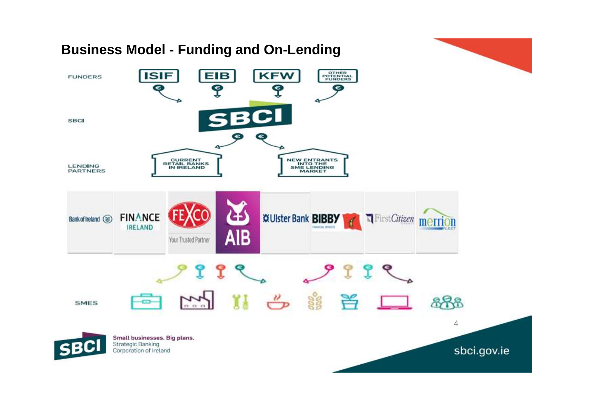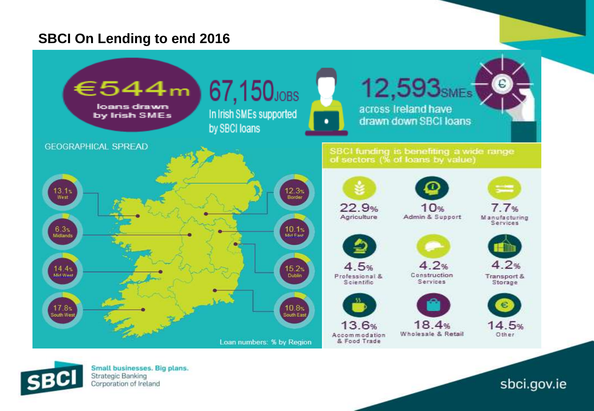# **SBCI On Lending to end 2016**





Small businesses. Big plans. Strategic Banking Corporation of Ireland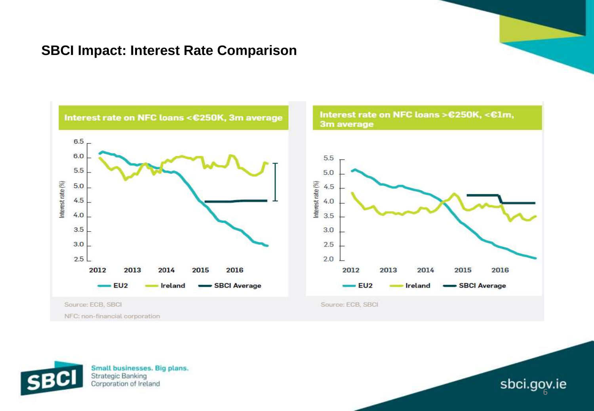## **SBCI Impact: Interest Rate Comparison**





Small businesses. Big plans. **Strategic Banking** Corporation of Ireland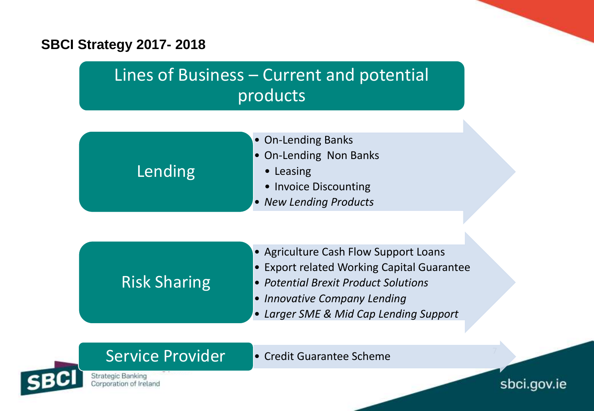# **SBCI Strategy 2017- 2018**

# Lines of Business – Current and potential products

- On-Lending Banks • On-Lending Non Banks • Leasing • Invoice Discounting Lending
	- *New Lending Products*

# Risk Sharing

- Agriculture Cash Flow Support Loans
- Export related Working Capital Guarantee
- *Potential Brexit Product Solutions*
- *Innovative Company Lending*
- *Larger SME & Mid Cap Lending Support*

Service Provider • Credit Guarantee Scheme

Strategic Banking Corporation of Ireland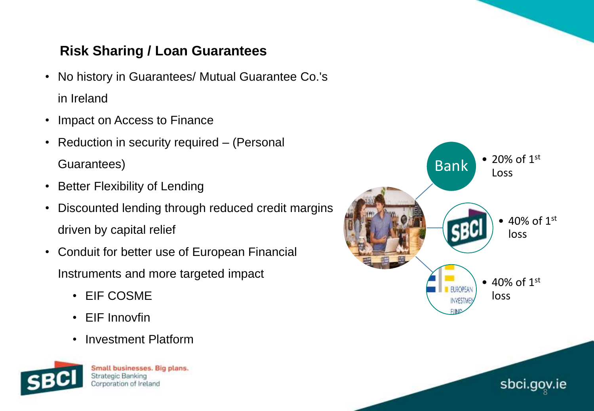# **Risk Sharing / Loan Guarantees**

- No history in Guarantees/ Mutual Guarantee Co.'s in Ireland
- Impact on Access to Finance
- Reduction in security required (Personal Guarantees)
- Better Flexibility of Lending
- Discounted lending through reduced credit margins driven by capital relief
- Conduit for better use of European Financial Instruments and more targeted impact
	- EIF COSME
	- EIF Innovfin
	- Investment Platform



Small businesses. Big plans. Strategic Banking Corporation of Ireland

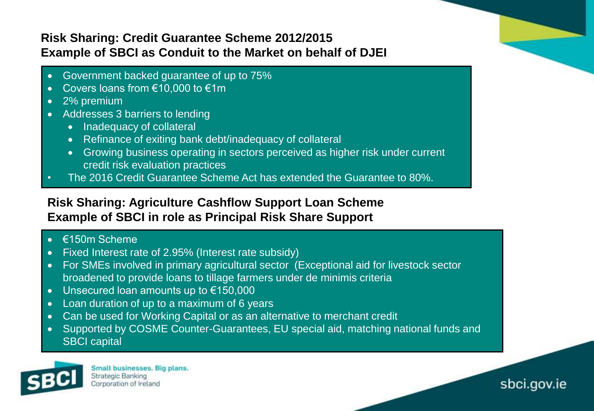### **Risk Sharing: Credit Guarantee Scheme 2012/2015 Example of SBCI as Conduit to the Market on behalf of DJEI**

- Government backed guarantee of up to 75%
- Covers loans from €10,000 to €1m
- 2% premium
- Addresses 3 barriers to lending
	- Inadequacy of collateral
	- Refinance of exiting bank debt/inadequacy of collateral
	- Growing business operating in sectors perceived as higher risk under current credit risk evaluation practices
- The 2016 Credit Guarantee Scheme Act has extended the Guarantee to 80%.

### **Risk Sharing: Agriculture Cashflow Support Loan Scheme Example of SBCI in role as Principal Risk Share Support**

- €150m Scheme
- Fixed Interest rate of 2.95% (Interest rate subsidy)
- For SMEs involved in primary agricultural sector (Exceptional aid for livestock sector broadened to provide loans to tillage farmers under de minimis criteria
- Unsecured loan amounts up to €150,000
- Loan duration of up to a maximum of 6 years
- Can be used for Working Capital or as an alternative to merchant credit
- Supported by COSME Counter-Guarantees, EU special aid, matching national funds and SBCI capital



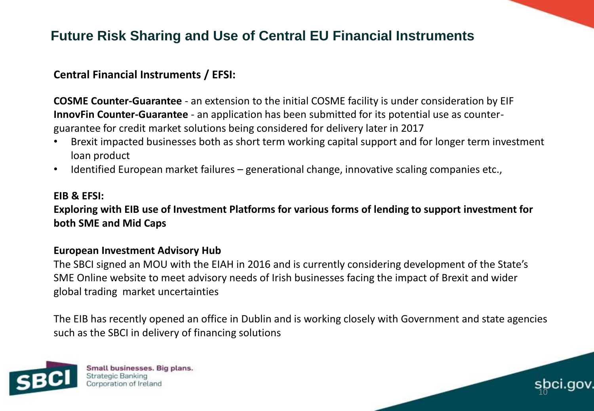# **Future Risk Sharing and Use of Central EU Financial Instruments**

### **Central Financial Instruments / EFSI:**

**COSME Counter-Guarantee** - an extension to the initial COSME facility is under consideration by EIF **InnovFin Counter-Guarantee** - an application has been submitted for its potential use as counterguarantee for credit market solutions being considered for delivery later in 2017

- Brexit impacted businesses both as short term working capital support and for longer term investment loan product
- Identified European market failures generational change, innovative scaling companies etc.,

#### **EIB & EFSI:**

**Exploring with EIB use of Investment Platforms for various forms of lending to support investment for both SME and Mid Caps**

### **European Investment Advisory Hub**

The SBCI signed an MOU with the EIAH in 2016 and is currently considering development of the State's SME Online website to meet advisory needs of Irish businesses facing the impact of Brexit and wider global trading market uncertainties

The EIB has recently opened an office in Dublin and is working closely with Government and state agencies such as the SBCI in delivery of financing solutions

10



Small businesses. Big plans. Strategic Banking Corporation of Ireland